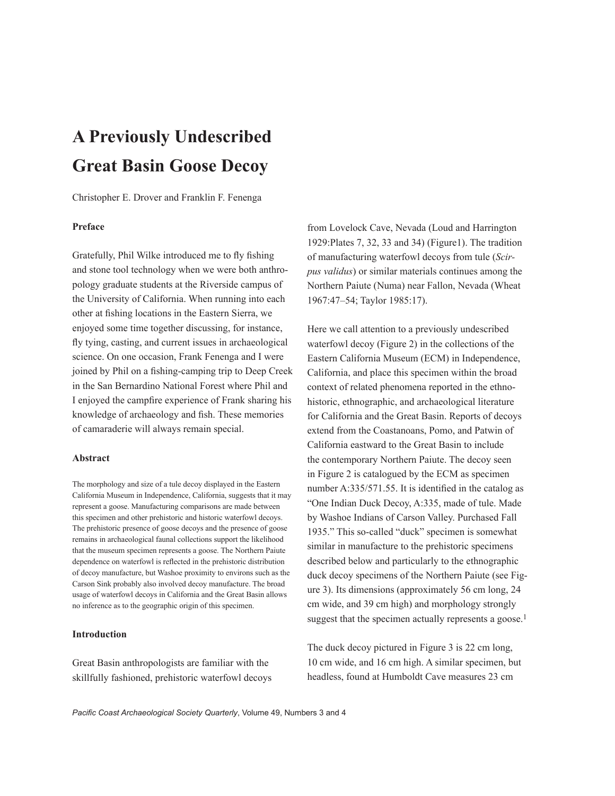# **A Previously Undescribed Great Basin Goose Decoy**

Christopher E. Drover and Franklin F. Fenenga

# **Preface**

Gratefully, Phil Wilke introduced me to fly fishing and stone tool technology when we were both anthropology graduate students at the Riverside campus of the University of California. When running into each other at fishing locations in the Eastern Sierra, we enjoyed some time together discussing, for instance, fly tying, casting, and current issues in archaeological science. On one occasion, Frank Fenenga and I were joined by Phil on a fishing-camping trip to Deep Creek in the San Bernardino National Forest where Phil and I enjoyed the campfire experience of Frank sharing his knowledge of archaeology and fish. These memories of camaraderie will always remain special.

## **Abstract**

The morphology and size of a tule decoy displayed in the Eastern California Museum in Independence, California, suggests that it may represent a goose. Manufacturing comparisons are made between this specimen and other prehistoric and historic waterfowl decoys. The prehistoric presence of goose decoys and the presence of goose remains in archaeological faunal collections support the likelihood that the museum specimen represents a goose. The Northern Paiute dependence on waterfowl is reflected in the prehistoric distribution of decoy manufacture, but Washoe proximity to environs such as the Carson Sink probably also involved decoy manufacture. The broad usage of waterfowl decoys in California and the Great Basin allows no inference as to the geographic origin of this specimen.

## **Introduction**

Great Basin anthropologists are familiar with the skillfully fashioned, prehistoric waterfowl decoys

from Lovelock Cave, Nevada (Loud and Harrington 1929:Plates 7, 32, 33 and 34) (Figure1). The tradition of manufacturing waterfowl decoys from tule (*Scirpus validus*) or similar materials continues among the Northern Paiute (Numa) near Fallon, Nevada (Wheat 1967:47–54; Taylor 1985:17).

Here we call attention to a previously undescribed waterfowl decoy (Figure 2) in the collections of the Eastern California Museum (ECM) in Independence, California, and place this specimen within the broad context of related phenomena reported in the ethnohistoric, ethnographic, and archaeological literature for California and the Great Basin. Reports of decoys extend from the Coastanoans, Pomo, and Patwin of California eastward to the Great Basin to include the contemporary Northern Paiute. The decoy seen in Figure 2 is catalogued by the ECM as specimen number A:335/571.55. It is identified in the catalog as "One Indian Duck Decoy, A:335, made of tule. Made by Washoe Indians of Carson Valley. Purchased Fall 1935." This so-called "duck" specimen is somewhat similar in manufacture to the prehistoric specimens described below and particularly to the ethnographic duck decoy specimens of the Northern Paiute (see Figure 3). Its dimensions (approximately 56 cm long, 24 cm wide, and 39 cm high) and morphology strongly suggest that the specimen actually represents a goose.<sup>1</sup>

The duck decoy pictured in Figure 3 is 22 cm long, 10 cm wide, and 16 cm high. A similar specimen, but headless, found at Humboldt Cave measures 23 cm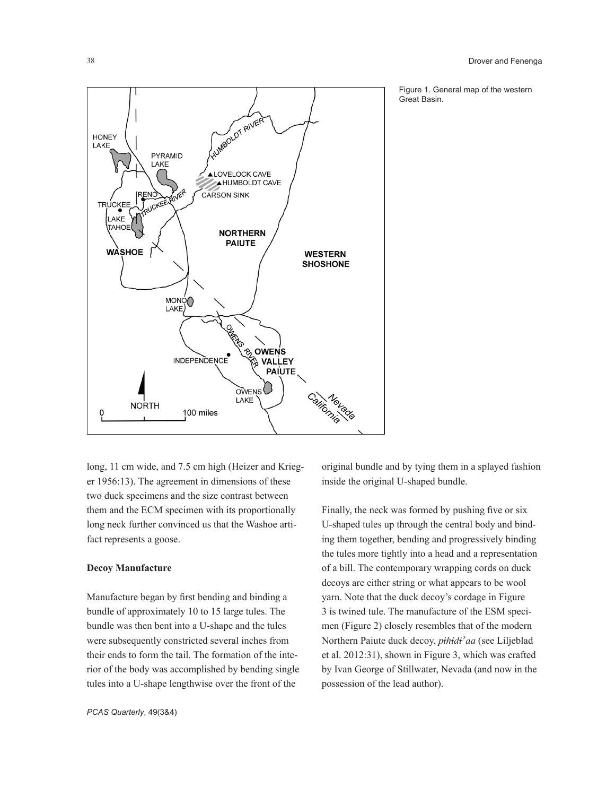

Figure 1. General map of the western Great Basin.

long, 11 cm wide, and 7.5 cm high (Heizer and Krieger 1956:13). The agreement in dimensions of these two duck specimens and the size contrast between them and the ECM specimen with its proportionally long neck further convinced us that the Washoe artifact represents a goose.

#### **Decoy Manufacture**

Manufacture began by first bending and binding a bundle of approximately 10 to 15 large tules. The bundle was then bent into a U-shape and the tules were subsequently constricted several inches from their ends to form the tail. The formation of the interior of the body was accomplished by bending single tules into a U-shape lengthwise over the front of the

original bundle and by tying them in a splayed fashion inside the original U-shaped bundle.

Finally, the neck was formed by pushing five or six U-shaped tules up through the central body and binding them together, bending and progressively binding the tules more tightly into a head and a representation of a bill. The contemporary wrapping cords on duck decoys are either string or what appears to be wool yarn. Note that the duck decoy's cordage in Figure 3 is twined tule. The manufacture of the ESM specimen (Figure 2) closely resembles that of the modern Northern Paiute duck decoy, *pihidi?aa* (see Liljeblad et al. 2012:31), shown in Figure 3, which was crafted by Ivan George of Stillwater, Nevada (and now in the possession of the lead author).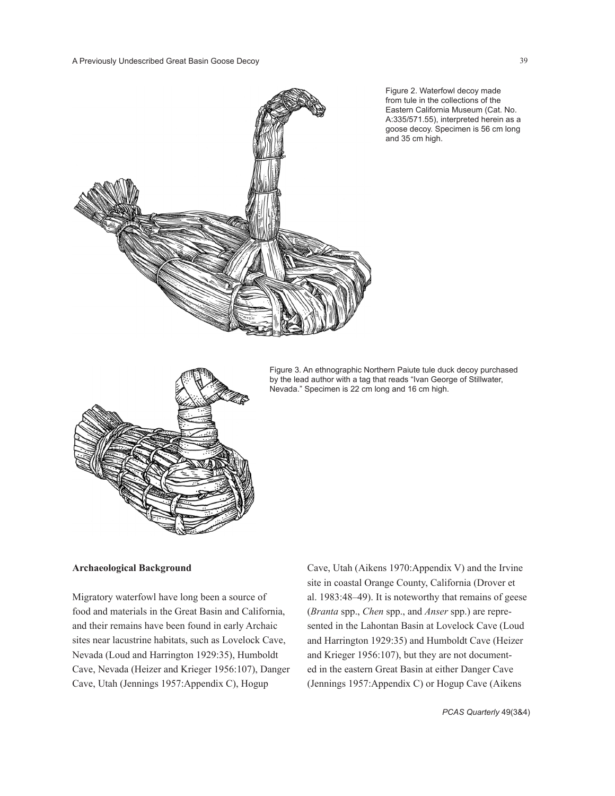

Figure 2. Waterfowl decoy made from tule in the collections of the Eastern California Museum (Cat. No. A:335/571.55), interpreted herein as a goose decoy. Specimen is 56 cm long and 35 cm high.



Figure 3. An ethnographic Northern Paiute tule duck decoy purchased by the lead author with a tag that reads "Ivan George of Stillwater, Nevada." Specimen is 22 cm long and 16 cm high.

#### **Archaeological Background**

Migratory waterfowl have long been a source of food and materials in the Great Basin and California, and their remains have been found in early Archaic sites near lacustrine habitats, such as Lovelock Cave, Nevada (Loud and Harrington 1929:35), Humboldt Cave, Nevada (Heizer and Krieger 1956:107), Danger Cave, Utah (Jennings 1957:Appendix C), Hogup

Cave, Utah (Aikens 1970:Appendix V) and the Irvine site in coastal Orange County, California (Drover et al. 1983:48–49). It is noteworthy that remains of geese (*Branta* spp., *Chen* spp., and *Anser* spp.) are represented in the Lahontan Basin at Lovelock Cave (Loud and Harrington 1929:35) and Humboldt Cave (Heizer and Krieger 1956:107), but they are not documented in the eastern Great Basin at either Danger Cave (Jennings 1957:Appendix C) or Hogup Cave (Aikens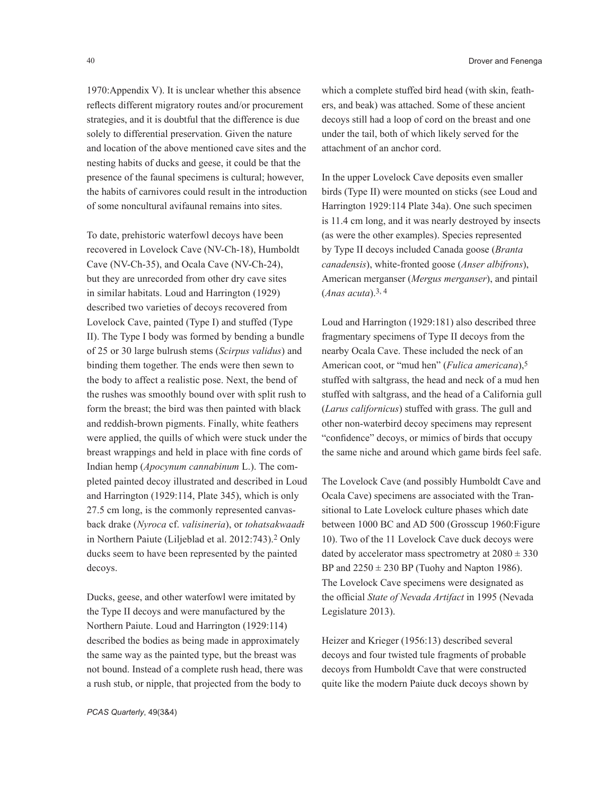1970:Appendix V). It is unclear whether this absence reflects different migratory routes and/or procurement strategies, and it is doubtful that the difference is due solely to differential preservation. Given the nature and location of the above mentioned cave sites and the nesting habits of ducks and geese, it could be that the presence of the faunal specimens is cultural; however, the habits of carnivores could result in the introduction of some noncultural avifaunal remains into sites.

To date, prehistoric waterfowl decoys have been recovered in Lovelock Cave (NV-Ch-18), Humboldt Cave (NV-Ch-35), and Ocala Cave (NV-Ch-24), but they are unrecorded from other dry cave sites in similar habitats. Loud and Harrington (1929) described two varieties of decoys recovered from Lovelock Cave, painted (Type I) and stuffed (Type II). The Type I body was formed by bending a bundle of 25 or 30 large bulrush stems (*Scirpus validus*) and binding them together. The ends were then sewn to the body to affect a realistic pose. Next, the bend of the rushes was smoothly bound over with split rush to form the breast; the bird was then painted with black and reddish-brown pigments. Finally, white feathers were applied, the quills of which were stuck under the breast wrappings and held in place with fine cords of Indian hemp (*Apocynum cannabinum* L.). The completed painted decoy illustrated and described in Loud and Harrington (1929:114, Plate 345), which is only 27.5 cm long, is the commonly represented canvasback drake (*Nyroca* cf. *valisineria*), or *tohatsakwaadi* in Northern Paiute (Liljeblad et al. 2012:743).2 Only ducks seem to have been represented by the painted decoys.

Ducks, geese, and other waterfowl were imitated by the Type II decoys and were manufactured by the Northern Paiute. Loud and Harrington (1929:114) described the bodies as being made in approximately the same way as the painted type, but the breast was not bound. Instead of a complete rush head, there was a rush stub, or nipple, that projected from the body to

which a complete stuffed bird head (with skin, feathers, and beak) was attached. Some of these ancient decoys still had a loop of cord on the breast and one under the tail, both of which likely served for the attachment of an anchor cord.

In the upper Lovelock Cave deposits even smaller birds (Type II) were mounted on sticks (see Loud and Harrington 1929:114 Plate 34a). One such specimen is 11.4 cm long, and it was nearly destroyed by insects (as were the other examples). Species represented by Type II decoys included Canada goose (*Branta canadensis*), white-fronted goose (*Anser albifrons*), American merganser (*Mergus merganser*), and pintail (*Anas acuta*).3, 4

Loud and Harrington (1929:181) also described three fragmentary specimens of Type II decoys from the nearby Ocala Cave. These included the neck of an American coot, or "mud hen" (*Fulica americana*),5 stuffed with saltgrass, the head and neck of a mud hen stuffed with saltgrass, and the head of a California gull (*Larus californicus*) stuffed with grass. The gull and other non-waterbird decoy specimens may represent "confidence" decoys, or mimics of birds that occupy the same niche and around which game birds feel safe.

The Lovelock Cave (and possibly Humboldt Cave and Ocala Cave) specimens are associated with the Transitional to Late Lovelock culture phases which date between 1000 BC and AD 500 (Grosscup 1960:Figure 10). Two of the 11 Lovelock Cave duck decoys were dated by accelerator mass spectrometry at  $2080 \pm 330$ BP and  $2250 \pm 230$  BP (Tuohy and Napton 1986). The Lovelock Cave specimens were designated as the official *State of Nevada Artifact* in 1995 (Nevada Legislature 2013).

Heizer and Krieger (1956:13) described several decoys and four twisted tule fragments of probable decoys from Humboldt Cave that were constructed quite like the modern Paiute duck decoys shown by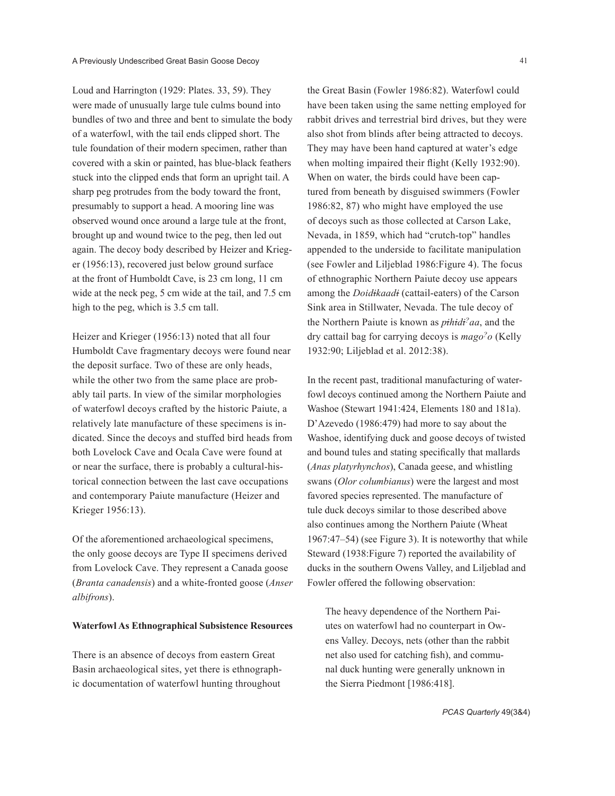Loud and Harrington (1929: Plates. 33, 59). They were made of unusually large tule culms bound into bundles of two and three and bent to simulate the body of a waterfowl, with the tail ends clipped short. The tule foundation of their modern specimen, rather than covered with a skin or painted, has blue-black feathers stuck into the clipped ends that form an upright tail. A sharp peg protrudes from the body toward the front, presumably to support a head. A mooring line was observed wound once around a large tule at the front, brought up and wound twice to the peg, then led out again. The decoy body described by Heizer and Krieger (1956:13), recovered just below ground surface at the front of Humboldt Cave, is 23 cm long, 11 cm wide at the neck peg, 5 cm wide at the tail, and 7.5 cm high to the peg, which is 3.5 cm tall.

Heizer and Krieger (1956:13) noted that all four Humboldt Cave fragmentary decoys were found near the deposit surface. Two of these are only heads, while the other two from the same place are probably tail parts. In view of the similar morphologies of waterfowl decoys crafted by the historic Paiute, a relatively late manufacture of these specimens is indicated. Since the decoys and stuffed bird heads from both Lovelock Cave and Ocala Cave were found at or near the surface, there is probably a cultural-historical connection between the last cave occupations and contemporary Paiute manufacture (Heizer and Krieger 1956:13).

Of the aforementioned archaeological specimens, the only goose decoys are Type II specimens derived from Lovelock Cave. They represent a Canada goose (*Branta canadensis*) and a white-fronted goose (*Anser albifrons*).

#### **Waterfowl As Ethnographical Subsistence Resources**

There is an absence of decoys from eastern Great Basin archaeological sites, yet there is ethnographic documentation of waterfowl hunting throughout

the Great Basin (Fowler 1986:82). Waterfowl could have been taken using the same netting employed for rabbit drives and terrestrial bird drives, but they were also shot from blinds after being attracted to decoys. They may have been hand captured at water's edge when molting impaired their flight (Kelly 1932:90). When on water, the birds could have been captured from beneath by disguised swimmers (Fowler 1986:82, 87) who might have employed the use of decoys such as those collected at Carson Lake, Nevada, in 1859, which had "crutch-top" handles appended to the underside to facilitate manipulation (see Fowler and Liljeblad 1986:Figure 4). The focus of ethnographic Northern Paiute decoy use appears among the *Doidikaadi* (cattail-eaters) of the Carson Sink area in Stillwater, Nevada. The tule decoy of the Northern Paiute is known as *pihidi?aa*, and the dry cattail bag for carrying decoys is *mago?o* (Kelly 1932:90; Liljeblad et al. 2012:38).

In the recent past, traditional manufacturing of waterfowl decoys continued among the Northern Paiute and Washoe (Stewart 1941:424, Elements 180 and 181a). D'Azevedo (1986:479) had more to say about the Washoe, identifying duck and goose decoys of twisted and bound tules and stating specifically that mallards (*Anas platyrhynchos*), Canada geese, and whistling swans (*Olor columbianus*) were the largest and most favored species represented. The manufacture of tule duck decoys similar to those described above also continues among the Northern Paiute (Wheat 1967:47–54) (see Figure 3). It is noteworthy that while Steward (1938:Figure 7) reported the availability of ducks in the southern Owens Valley, and Liljeblad and Fowler offered the following observation:

The heavy dependence of the Northern Paiutes on waterfowl had no counterpart in Owens Valley. Decoys, nets (other than the rabbit net also used for catching fish), and communal duck hunting were generally unknown in the Sierra Piedmont [1986:418].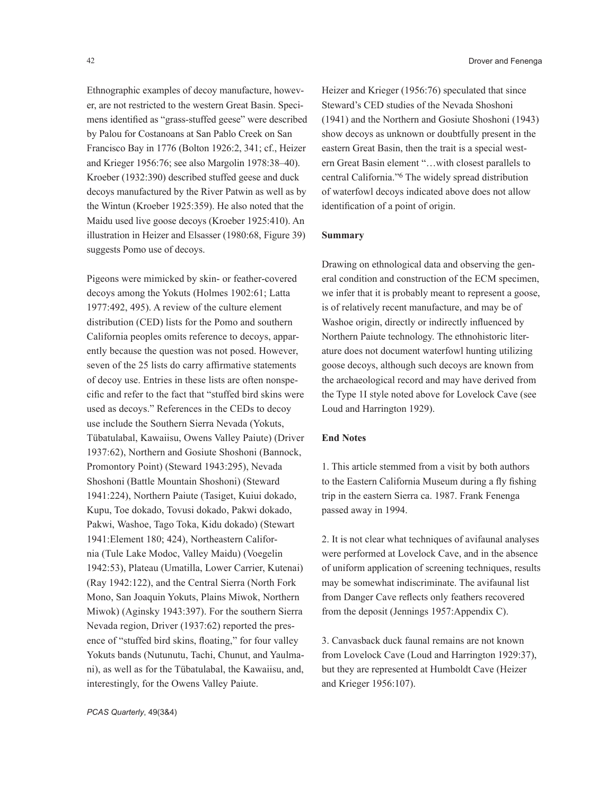Ethnographic examples of decoy manufacture, however, are not restricted to the western Great Basin. Specimens identified as "grass-stuffed geese" were described by Palou for Costanoans at San Pablo Creek on San Francisco Bay in 1776 (Bolton 1926:2, 341; cf., Heizer and Krieger 1956:76; see also Margolin 1978:38–40). Kroeber (1932:390) described stuffed geese and duck decoys manufactured by the River Patwin as well as by the Wintun (Kroeber 1925:359). He also noted that the Maidu used live goose decoys (Kroeber 1925:410). An illustration in Heizer and Elsasser (1980:68, Figure 39) suggests Pomo use of decoys.

Pigeons were mimicked by skin- or feather-covered decoys among the Yokuts (Holmes 1902:61; Latta 1977:492, 495). A review of the culture element distribution (CED) lists for the Pomo and southern California peoples omits reference to decoys, apparently because the question was not posed. However, seven of the 25 lists do carry affirmative statements of decoy use. Entries in these lists are often nonspecific and refer to the fact that "stuffed bird skins were used as decoys." References in the CEDs to decoy use include the Southern Sierra Nevada (Yokuts, Tübatulabal, Kawaiisu, Owens Valley Paiute) (Driver 1937:62), Northern and Gosiute Shoshoni (Bannock, Promontory Point) (Steward 1943:295), Nevada Shoshoni (Battle Mountain Shoshoni) (Steward 1941:224), Northern Paiute (Tasiget, Kuiui dokado, Kupu, Toe dokado, Tovusi dokado, Pakwi dokado, Pakwi, Washoe, Tago Toka, Kidu dokado) (Stewart 1941:Element 180; 424), Northeastern California (Tule Lake Modoc, Valley Maidu) (Voegelin 1942:53), Plateau (Umatilla, Lower Carrier, Kutenai) (Ray 1942:122), and the Central Sierra (North Fork Mono, San Joaquin Yokuts, Plains Miwok, Northern Miwok) (Aginsky 1943:397). For the southern Sierra Nevada region, Driver (1937:62) reported the presence of "stuffed bird skins, floating," for four valley Yokuts bands (Nutunutu, Tachi, Chunut, and Yaulmani), as well as for the Tübatulabal, the Kawaiisu, and, interestingly, for the Owens Valley Paiute.

Heizer and Krieger (1956:76) speculated that since Steward's CED studies of the Nevada Shoshoni (1941) and the Northern and Gosiute Shoshoni (1943) show decoys as unknown or doubtfully present in the eastern Great Basin, then the trait is a special western Great Basin element "…with closest parallels to central California."6 The widely spread distribution of waterfowl decoys indicated above does not allow identification of a point of origin.

## **Summary**

Drawing on ethnological data and observing the general condition and construction of the ECM specimen, we infer that it is probably meant to represent a goose, is of relatively recent manufacture, and may be of Washoe origin, directly or indirectly influenced by Northern Paiute technology. The ethnohistoric literature does not document waterfowl hunting utilizing goose decoys, although such decoys are known from the archaeological record and may have derived from the Type 1I style noted above for Lovelock Cave (see Loud and Harrington 1929).

## **End Notes**

1. This article stemmed from a visit by both authors to the Eastern California Museum during a fly fishing trip in the eastern Sierra ca. 1987. Frank Fenenga passed away in 1994.

2. It is not clear what techniques of avifaunal analyses were performed at Lovelock Cave, and in the absence of uniform application of screening techniques, results may be somewhat indiscriminate. The avifaunal list from Danger Cave reflects only feathers recovered from the deposit (Jennings 1957:Appendix C).

3. Canvasback duck faunal remains are not known from Lovelock Cave (Loud and Harrington 1929:37), but they are represented at Humboldt Cave (Heizer and Krieger 1956:107).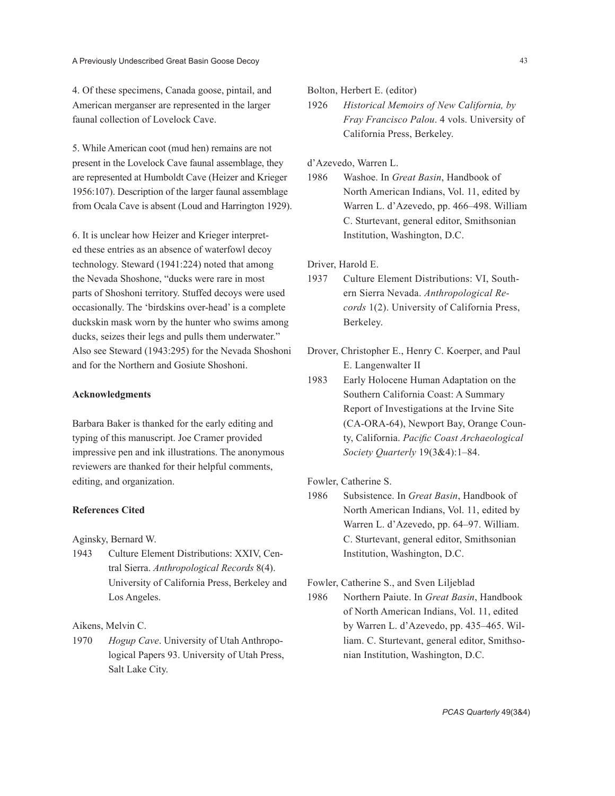4. Of these specimens, Canada goose, pintail, and American merganser are represented in the larger faunal collection of Lovelock Cave.

5. While American coot (mud hen) remains are not present in the Lovelock Cave faunal assemblage, they are represented at Humboldt Cave (Heizer and Krieger 1956:107). Description of the larger faunal assemblage from Ocala Cave is absent (Loud and Harrington 1929).

6. It is unclear how Heizer and Krieger interpreted these entries as an absence of waterfowl decoy technology. Steward (1941:224) noted that among the Nevada Shoshone, "ducks were rare in most parts of Shoshoni territory. Stuffed decoys were used occasionally. The 'birdskins over-head' is a complete duckskin mask worn by the hunter who swims among ducks, seizes their legs and pulls them underwater." Also see Steward (1943:295) for the Nevada Shoshoni and for the Northern and Gosiute Shoshoni.

# **Acknowledgments**

Barbara Baker is thanked for the early editing and typing of this manuscript. Joe Cramer provided impressive pen and ink illustrations. The anonymous reviewers are thanked for their helpful comments, editing, and organization.

# **References Cited**

Aginsky, Bernard W.

1943 Culture Element Distributions: XXIV, Central Sierra. *Anthropological Records* 8(4). University of California Press, Berkeley and Los Angeles.

Aikens, Melvin C.

1970 *Hogup Cave*. University of Utah Anthropological Papers 93. University of Utah Press, Salt Lake City.

Bolton, Herbert E. (editor)

1926 *Historical Memoirs of New California, by Fray Francisco Palou*. 4 vols. University of California Press, Berkeley.

d'Azevedo, Warren L.

1986 Washoe. In *Great Basin*, Handbook of North American Indians, Vol. 11, edited by Warren L. d'Azevedo, pp. 466–498. William C. Sturtevant, general editor, Smithsonian Institution, Washington, D.C.

Driver, Harold E.

- 1937 Culture Element Distributions: VI, Southern Sierra Nevada. *Anthropological Records* 1(2). University of California Press, Berkeley.
- Drover, Christopher E., Henry C. Koerper, and Paul E. Langenwalter II
- 1983 Early Holocene Human Adaptation on the Southern California Coast: A Summary Report of Investigations at the Irvine Site (CA-ORA-64), Newport Bay, Orange County, California. *Pacific Coast Archaeological Society Quarterly* 19(3&4):1–84.

Fowler, Catherine S.

1986 Subsistence. In *Great Basin*, Handbook of North American Indians, Vol. 11, edited by Warren L. d'Azevedo, pp. 64–97. William. C. Sturtevant, general editor, Smithsonian Institution, Washington, D.C.

Fowler, Catherine S., and Sven Liljeblad

1986 Northern Paiute. In *Great Basin*, Handbook of North American Indians, Vol. 11, edited by Warren L. d'Azevedo, pp. 435–465. William. C. Sturtevant, general editor, Smithsonian Institution, Washington, D.C.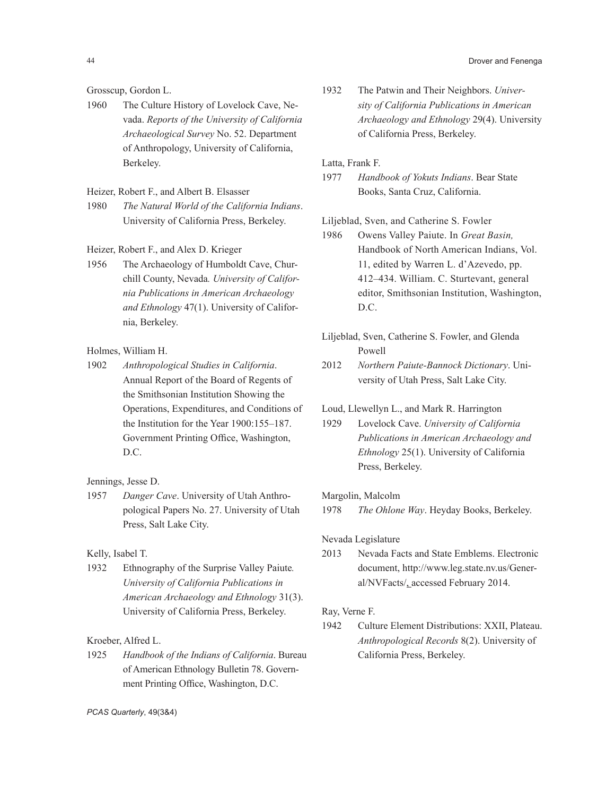44 Drover and Fenenga

# Grosscup, Gordon L.

1960 The Culture History of Lovelock Cave, Nevada. *Reports of the University of California Archaeological Survey* No. 52. Department of Anthropology, University of California, Berkeley.

# Heizer, Robert F., and Albert B. Elsasser

- 1980 *The Natural World of the California Indians*. University of California Press, Berkeley.
- Heizer, Robert F., and Alex D. Krieger
- 1956 The Archaeology of Humboldt Cave, Churchill County, Nevada*. University of California Publications in American Archaeology and Ethnology* 47(1). University of California, Berkeley.

# Holmes, William H.

1902 *Anthropological Studies in California*. Annual Report of the Board of Regents of the Smithsonian Institution Showing the Operations, Expenditures, and Conditions of the Institution for the Year 1900:155–187. Government Printing Office, Washington, D.C.

Jennings, Jesse D.

1957 *Danger Cave*. University of Utah Anthropological Papers No. 27. University of Utah Press, Salt Lake City.

# Kelly, Isabel T.

1932 Ethnography of the Surprise Valley Paiute*. University of California Publications in American Archaeology and Ethnology* 31(3). University of California Press, Berkeley.

## Kroeber, Alfred L.

1925 *Handbook of the Indians of California*. Bureau of American Ethnology Bulletin 78. Government Printing Office, Washington, D.C.

1932 The Patwin and Their Neighbors. *University of California Publications in American Archaeology and Ethnology* 29(4). University of California Press, Berkeley.

# Latta, Frank F.

1977 *Handbook of Yokuts Indians*. Bear State Books, Santa Cruz, California.

# Liljeblad, Sven, and Catherine S. Fowler

- 1986 Owens Valley Paiute. In *Great Basin,* Handbook of North American Indians, Vol. 11, edited by Warren L. d'Azevedo, pp. 412–434. William. C. Sturtevant, general editor, Smithsonian Institution, Washington, D.C.
- Liljeblad, Sven, Catherine S. Fowler, and Glenda Powell
- 2012 *Northern Paiute-Bannock Dictionary*. University of Utah Press, Salt Lake City.

# Loud, Llewellyn L., and Mark R. Harrington

1929 Lovelock Cave. *University of California Publications in American Archaeology and Ethnology* 25(1). University of California Press, Berkeley.

## Margolin, Malcolm

1978 *The Ohlone Way*. Heyday Books, Berkeley.

#### Nevada Legislature

2013 Nevada Facts and State Emblems. Electronic document, http://www.leg.state.nv.us/General/NVFacts/, accessed February 2014.

## Ray, Verne F.

1942 Culture Element Distributions: XXII, Plateau. *Anthropological Records* 8(2). University of California Press, Berkeley.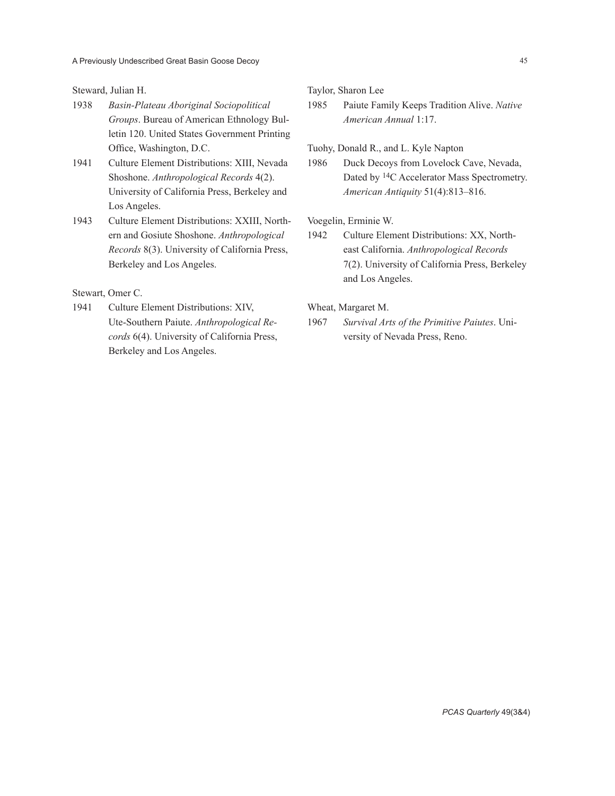Steward, Julian H.

- 1938 *Basin-Plateau Aboriginal Sociopolitical Groups*. Bureau of American Ethnology Bulletin 120. United States Government Printing Office, Washington, D.C.
- 1941 Culture Element Distributions: XIII, Nevada Shoshone. *Anthropological Records* 4(2). University of California Press, Berkeley and Los Angeles.
- 1943 Culture Element Distributions: XXIII, Northern and Gosiute Shoshone. *Anthropological Records* 8(3). University of California Press, Berkeley and Los Angeles.

Stewart, Omer C.

1941 Culture Element Distributions: XIV, Ute-Southern Paiute. *Anthropological Records* 6(4). University of California Press, Berkeley and Los Angeles.

Taylor, Sharon Lee

1985 Paiute Family Keeps Tradition Alive. *Native American Annual* 1:17.

Tuohy, Donald R., and L. Kyle Napton

1986 Duck Decoys from Lovelock Cave, Nevada, Dated by 14C Accelerator Mass Spectrometry. *American Antiquity* 51(4):813–816.

Voegelin, Erminie W.

1942 Culture Element Distributions: XX, Northeast California. *Anthropological Records* 7(2). University of California Press, Berkeley and Los Angeles.

Wheat, Margaret M.

1967 *Survival Arts of the Primitive Paiutes*. University of Nevada Press, Reno.